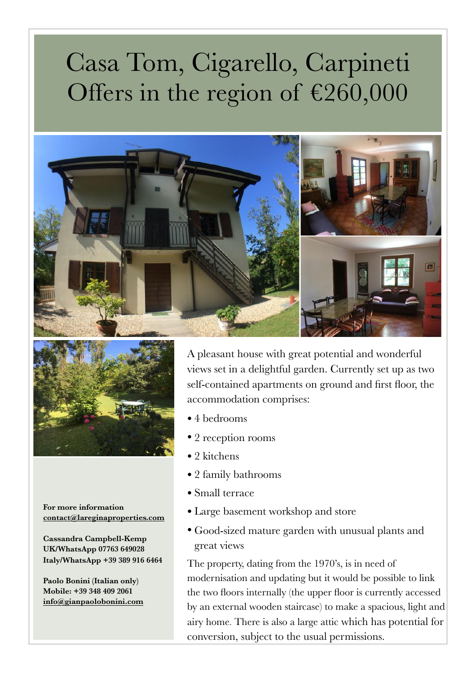## Casa Tom, Cigarello, Carpineti Offers in the region of  $£260,000$





**For more information [contact@lareginaproperties.com](http://www.apple.com)** 

**Cassandra Campbell-Kemp UK/WhatsApp 07763 649028 Italy/WhatsApp +39 389 916 6464**

**Paolo Bonini (Italian only) Mobile: +39 348 409 2061 [info@gianpaolobonini.com](http://www.apple.com)**

A pleasant house with great potential and wonderful views set in a delightful garden. Currently set up as two self-contained apartments on ground and first floor, the accommodation comprises:

- 4 bedrooms
- 2 reception rooms
- 2 kitchens
- 2 family bathrooms
- Small terrace
- Large basement workshop and store
- Good-sized mature garden with unusual plants and great views

The property, dating from the 1970's, is in need of modernisation and updating but it would be possible to link the two floors internally (the upper floor is currently accessed by an external wooden staircase) to make a spacious, light and airy home. There is also a large attic which has potential for conversion, subject to the usual permissions.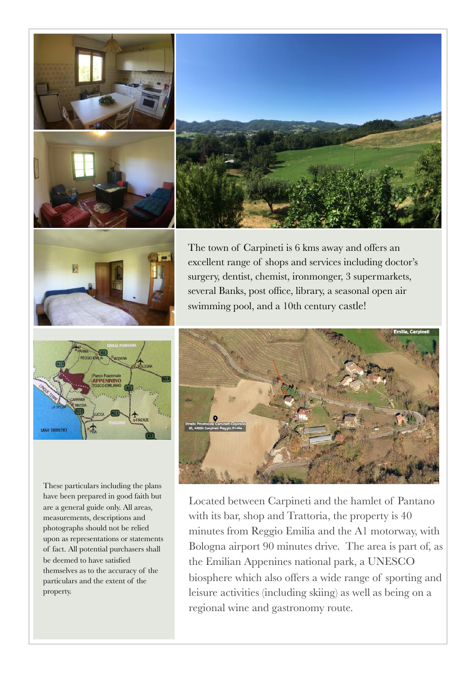





The town of Carpineti is 6 kms away and offers an excellent range of shops and services including doctor's surgery, dentist, chemist, ironmonger, 3 supermarkets, several Banks, post office, library, a seasonal open air swimming pool, and a 10th century castle!



These particulars including the plans have been prepared in good faith but are a general guide only. All areas, measurements, descriptions and photographs should not be relied upon as representations or statements of fact. All potential purchasers shall be deemed to have satisfied themselves as to the accuracy of the particulars and the extent of the property.



Located between Carpineti and the hamlet of Pantano with its bar, shop and Trattoria, the property is 40 minutes from Reggio Emilia and the A1 motorway, with Bologna airport 90 minutes drive. The area is part of, as the Emilian Appenines national park, a UNESCO biosphere which also offers a wide range of sporting and leisure activities (including skiing) as well as being on a regional wine and gastronomy route.